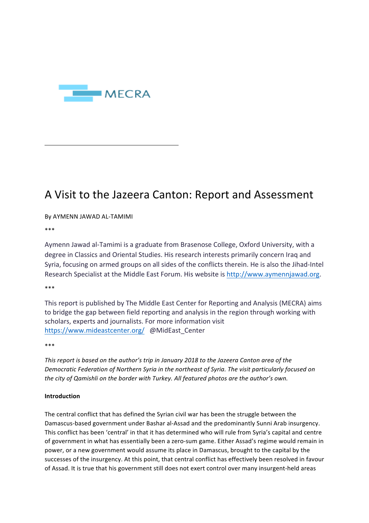

# A Visit to the Jazeera Canton: Report and Assessment

By AYMENN JAWAD AL-TAMIMI

\*\*\*

Aymenn Jawad al-Tamimi is a graduate from Brasenose College, Oxford University, with a degree in Classics and Oriental Studies. His research interests primarily concern Iraq and Syria, focusing on armed groups on all sides of the conflicts therein. He is also the Jihad-Intel Research Specialist at the Middle East Forum. His website is http://www.aymennjawad.org.

\*\*\*

This report is published by The Middle East Center for Reporting and Analysis (MECRA) aims to bridge the gap between field reporting and analysis in the region through working with scholars, experts and journalists. For more information visit https://www.mideastcenter.org/ @MidEast Center

\*\*\*

This report is based on the author's trip in January 2018 to the Jazeera Canton area of the Democratic Federation of Northern Syria in the northeast of Syria. The visit particularly focused on *the city of Qamishli on the border with Turkey. All featured photos are the author's own.* 

## **Introduction**

The central conflict that has defined the Syrian civil war has been the struggle between the Damascus-based government under Bashar al-Assad and the predominantly Sunni Arab insurgency. This conflict has been 'central' in that it has determined who will rule from Syria's capital and centre of government in what has essentially been a zero-sum game. Either Assad's regime would remain in power, or a new government would assume its place in Damascus, brought to the capital by the successes of the insurgency. At this point, that central conflict has effectively been resolved in favour of Assad. It is true that his government still does not exert control over many insurgent-held areas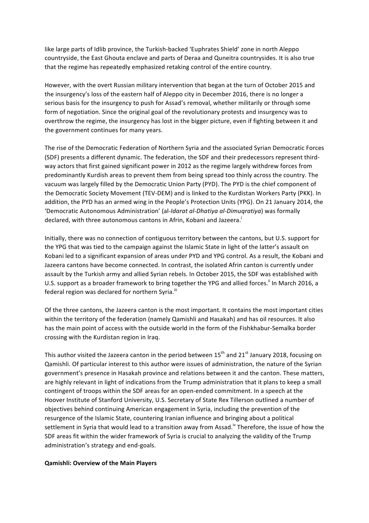like large parts of Idlib province, the Turkish-backed 'Euphrates Shield' zone in north Aleppo countryside, the East Ghouta enclave and parts of Deraa and Quneitra countrysides. It is also true that the regime has repeatedly emphasized retaking control of the entire country.

However, with the overt Russian military intervention that began at the turn of October 2015 and the insurgency's loss of the eastern half of Aleppo city in December 2016, there is no longer a serious basis for the insurgency to push for Assad's removal, whether militarily or through some form of negotiation. Since the original goal of the revolutionary protests and insurgency was to overthrow the regime, the insurgency has lost in the bigger picture, even if fighting between it and the government continues for many years.

The rise of the Democratic Federation of Northern Syria and the associated Syrian Democratic Forces (SDF) presents a different dynamic. The federation, the SDF and their predecessors represent thirdway actors that first gained significant power in 2012 as the regime largely withdrew forces from predominantly Kurdish areas to prevent them from being spread too thinly across the country. The vacuum was largely filled by the Democratic Union Party (PYD). The PYD is the chief component of the Democratic Society Movement (TEV-DEM) and is linked to the Kurdistan Workers Party (PKK). In addition, the PYD has an armed wing in the People's Protection Units (YPG). On 21 January 2014, the 'Democratic Autonomous Administration' (al-*Idarat al-Dhatiya al-Dimuqratiya*) was formally declared, with three autonomous cantons in Afrin, Kobani and Jazeera.<sup>1</sup>

Initially, there was no connection of contiguous territory between the cantons, but U.S. support for the YPG that was tied to the campaign against the Islamic State in light of the latter's assault on Kobani led to a significant expansion of areas under PYD and YPG control. As a result, the Kobani and Jazeera cantons have become connected. In contrast, the isolated Afrin canton is currently under assault by the Turkish army and allied Syrian rebels. In October 2015, the SDF was established with U.S. support as a broader framework to bring together the YPG and allied forces.<sup>ii</sup> In March 2016, a federal region was declared for northern Syria.<sup>iii</sup>

Of the three cantons, the Jazeera canton is the most important. It contains the most important cities within the territory of the federation (namely Qamishli and Hasakah) and has oil resources. It also has the main point of access with the outside world in the form of the Fishkhabur-Semalka border crossing with the Kurdistan region in Iraq.

This author visited the Jazeera canton in the period between  $15<sup>th</sup>$  and  $21<sup>st</sup>$  January 2018, focusing on Qamishli. Of particular interest to this author were issues of administration, the nature of the Syrian government's presence in Hasakah province and relations between it and the canton. These matters, are highly relevant in light of indications from the Trump administration that it plans to keep a small contingent of troops within the SDF areas for an open-ended commitment. In a speech at the Hoover Institute of Stanford University, U.S. Secretary of State Rex Tillerson outlined a number of objectives behind continuing American engagement in Syria, including the prevention of the resurgence of the Islamic State, countering Iranian influence and bringing about a political settlement in Syria that would lead to a transition away from Assad.<sup>iv</sup> Therefore, the issue of how the SDF areas fit within the wider framework of Syria is crucial to analyzing the validity of the Trump administration's strategy and end-goals.

#### **Qamishli: Overview of the Main Players**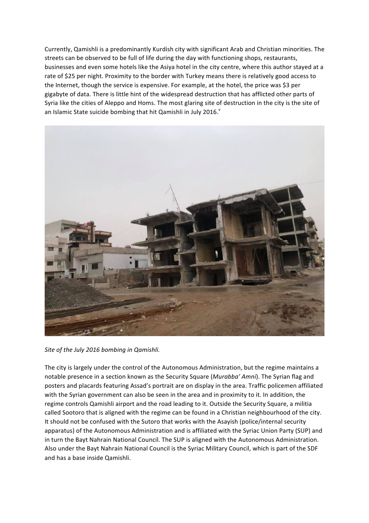Currently, Qamishli is a predominantly Kurdish city with significant Arab and Christian minorities. The streets can be observed to be full of life during the day with functioning shops, restaurants, businesses and even some hotels like the Asiya hotel in the city centre, where this author stayed at a rate of \$25 per night. Proximity to the border with Turkey means there is relatively good access to the Internet, though the service is expensive. For example, at the hotel, the price was \$3 per gigabyte of data. There is little hint of the widespread destruction that has afflicted other parts of Syria like the cities of Aleppo and Homs. The most glaring site of destruction in the city is the site of an Islamic State suicide bombing that hit Qamishli in July 2016. $^{\circ}$ 



Site of the July 2016 bombing in Qamishli.

The city is largely under the control of the Autonomous Administration, but the regime maintains a notable presence in a section known as the Security Square (*Murabba' Amni*). The Syrian flag and posters and placards featuring Assad's portrait are on display in the area. Traffic policemen affiliated with the Syrian government can also be seen in the area and in proximity to it. In addition, the regime controls Qamishli airport and the road leading to it. Outside the Security Square, a militia called Sootoro that is aligned with the regime can be found in a Christian neighbourhood of the city. It should not be confused with the Sutoro that works with the Asayish (police/internal security apparatus) of the Autonomous Administration and is affiliated with the Syriac Union Party (SUP) and in turn the Bayt Nahrain National Council. The SUP is aligned with the Autonomous Administration. Also under the Bayt Nahrain National Council is the Syriac Military Council, which is part of the SDF and has a base inside Qamishli.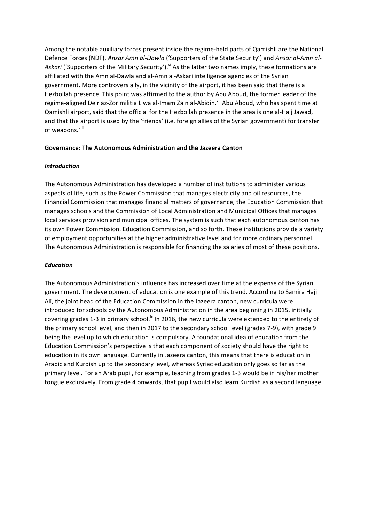Among the notable auxiliary forces present inside the regime-held parts of Qamishli are the National Defence Forces (NDF), Ansar Amn al-Dawla ('Supporters of the State Security') and Ansar al-Amn al-Askari ('Supporters of the Military Security').<sup>vi</sup> As the latter two names imply, these formations are affiliated with the Amn al-Dawla and al-Amn al-Askari intelligence agencies of the Syrian government. More controversially, in the vicinity of the airport, it has been said that there is a Hezbollah presence. This point was affirmed to the author by Abu Aboud, the former leader of the regime-aligned Deir az-Zor militia Liwa al-Imam Zain al-Abidin.<sup>Vii</sup> Abu Aboud, who has spent time at Qamishli airport, said that the official for the Hezbollah presence in the area is one al-Hajj Jawad, and that the airport is used by the 'friends' (i.e. foreign allies of the Syrian government) for transfer of weapons.<sup>viii</sup>

## **Governance: The Autonomous Administration and the Jazeera Canton**

## *Introduction*

The Autonomous Administration has developed a number of institutions to administer various aspects of life, such as the Power Commission that manages electricity and oil resources, the Financial Commission that manages financial matters of governance, the Education Commission that manages schools and the Commission of Local Administration and Municipal Offices that manages local services provision and municipal offices. The system is such that each autonomous canton has its own Power Commission, Education Commission, and so forth. These institutions provide a variety of employment opportunities at the higher administrative level and for more ordinary personnel. The Autonomous Administration is responsible for financing the salaries of most of these positions.

# *Education*

The Autonomous Administration's influence has increased over time at the expense of the Syrian government. The development of education is one example of this trend. According to Samira Hajj Ali, the joint head of the Education Commission in the Jazeera canton, new curricula were introduced for schools by the Autonomous Administration in the area beginning in 2015, initially covering grades 1-3 in primary school.<sup>ix</sup> In 2016, the new curricula were extended to the entirety of the primary school level, and then in 2017 to the secondary school level (grades 7-9), with grade 9 being the level up to which education is compulsory. A foundational idea of education from the Education Commission's perspective is that each component of society should have the right to education in its own language. Currently in Jazeera canton, this means that there is education in Arabic and Kurdish up to the secondary level, whereas Syriac education only goes so far as the primary level. For an Arab pupil, for example, teaching from grades 1-3 would be in his/her mother tongue exclusively. From grade 4 onwards, that pupil would also learn Kurdish as a second language.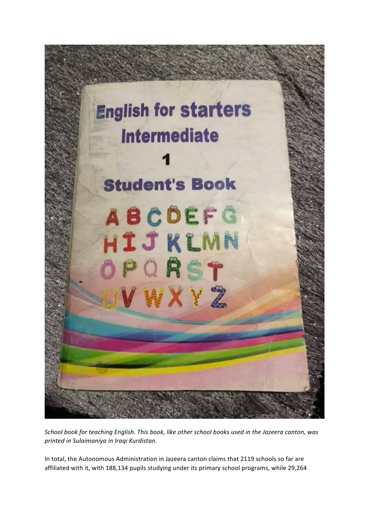

*School book for teaching English. This book, like other school books used in the Jazeera canton, was printed in Sulaimaniya in Iraqi Kurdistan.*

In total, the Autonomous Administration in Jazeera canton claims that 2119 schools so far are affiliated with it, with 188,134 pupils studying under its primary school programs, while 29,264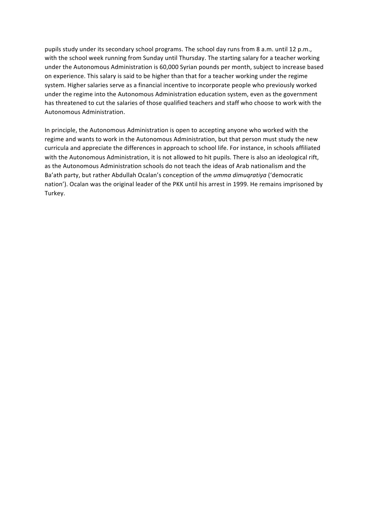pupils study under its secondary school programs. The school day runs from 8 a.m. until 12 p.m., with the school week running from Sunday until Thursday. The starting salary for a teacher working under the Autonomous Administration is 60,000 Syrian pounds per month, subject to increase based on experience. This salary is said to be higher than that for a teacher working under the regime system. Higher salaries serve as a financial incentive to incorporate people who previously worked under the regime into the Autonomous Administration education system, even as the government has threatened to cut the salaries of those qualified teachers and staff who choose to work with the Autonomous Administration. 

In principle, the Autonomous Administration is open to accepting anyone who worked with the regime and wants to work in the Autonomous Administration, but that person must study the new curricula and appreciate the differences in approach to school life. For instance, in schools affiliated with the Autonomous Administration, it is not allowed to hit pupils. There is also an ideological rift, as the Autonomous Administration schools do not teach the ideas of Arab nationalism and the Ba'ath party, but rather Abdullah Ocalan's conception of the *umma dimugratiya* ('democratic nation'). Ocalan was the original leader of the PKK until his arrest in 1999. He remains imprisoned by Turkey.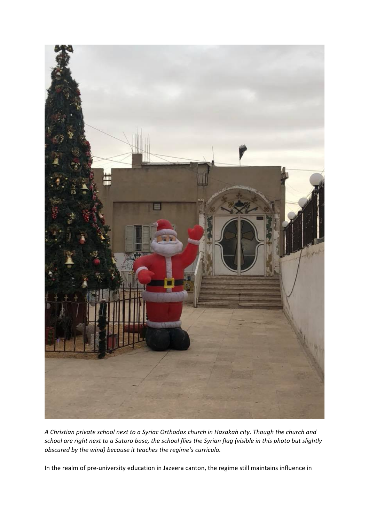

A Christian private school next to a Syriac Orthodox church in Hasakah city. Though the church and school are right next to a Sutoro base, the school flies the Syrian flag (visible in this photo but slightly *obscured by the wind) because it teaches the regime's curricula.* 

In the realm of pre-university education in Jazeera canton, the regime still maintains influence in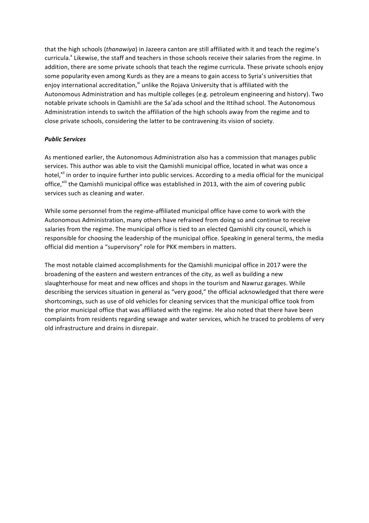that the high schools (*thanawiya*) in Jazeera canton are still affiliated with it and teach the regime's curricula.<sup>x</sup> Likewise, the staff and teachers in those schools receive their salaries from the regime. In addition, there are some private schools that teach the regime curricula. These private schools enjoy some popularity even among Kurds as they are a means to gain access to Syria's universities that enjoy international accreditation, $x^i$  unlike the Rojava University that is affiliated with the Autonomous Administration and has multiple colleges (e.g. petroleum engineering and history). Two notable private schools in Qamishli are the Sa'ada school and the Ittihad school. The Autonomous Administration intends to switch the affiliation of the high schools away from the regime and to close private schools, considering the latter to be contravening its vision of society.

## *Public Services*

As mentioned earlier, the Autonomous Administration also has a commission that manages public services. This author was able to visit the Qamishli municipal office, located in what was once a hotel,<sup>xii</sup> in order to inquire further into public services. According to a media official for the municipal office,<sup>xiii</sup> the Qamishli municipal office was established in 2013, with the aim of covering public services such as cleaning and water.

While some personnel from the regime-affiliated municipal office have come to work with the Autonomous Administration, many others have refrained from doing so and continue to receive salaries from the regime. The municipal office is tied to an elected Qamishli city council, which is responsible for choosing the leadership of the municipal office. Speaking in general terms, the media official did mention a "supervisory" role for PKK members in matters.

The most notable claimed accomplishments for the Qamishli municipal office in 2017 were the broadening of the eastern and western entrances of the city, as well as building a new slaughterhouse for meat and new offices and shops in the tourism and Nawruz garages. While describing the services situation in general as "very good," the official acknowledged that there were shortcomings, such as use of old vehicles for cleaning services that the municipal office took from the prior municipal office that was affiliated with the regime. He also noted that there have been complaints from residents regarding sewage and water services, which he traced to problems of very old infrastructure and drains in disrepair.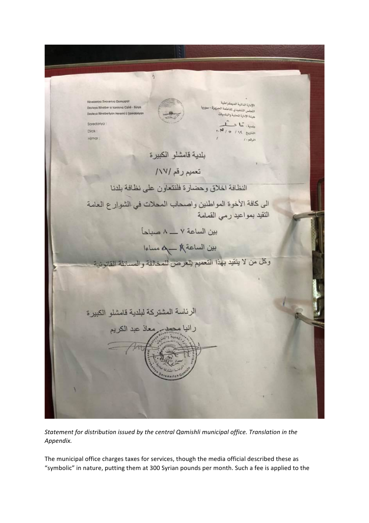$\overline{h}$ Révebenya Xworenya Demugra الإدارة الناثية الديمقراطية ولإدارة الدائية الديمصراصية<br>ولجلس التنفيذي ثقاطعة الجزيزة – سوري<br>الجلس التنفيذي ثقاطعة الجزيزة – سوري Destoya Révolter a kontona Cizêli - Súrya Desteya Révobertyén Heremî û Şarêdi الجنس التعلية والبلديات Saredo سبة، مَا د  $118$  below **Dirck** Himar  $1.54331$ بلدية قامشلو الكبيرة تعميم رقم /١٧/ النظافة اخلاق وحضارة فلنتعاون على نظافة بلدنا الى كافة الأخوة المواطنين واصحاب المحلات في الشوارع العامة التقيد بمواعيد رمي القمامة بين الساعة ٧ ـــ ٨ صباحاً بين الساعة A في العامل وكل من لا يتقيد بهذا التعميم يتعرض للمخالفة والمسائلة القانونية الرئاسة المشتركة لبلدية قامشلو الكبيرة رانيا محصر معاذ عبد الكريم

Statement for distribution issued by the central Qamishli municipal office. Translation in the *Appendix.*

The municipal office charges taxes for services, though the media official described these as "symbolic" in nature, putting them at 300 Syrian pounds per month. Such a fee is applied to the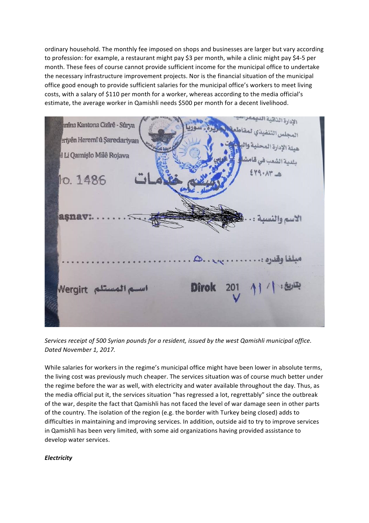ordinary household. The monthly fee imposed on shops and businesses are larger but vary according to profession: for example, a restaurant might pay \$3 per month, while a clinic might pay \$4-5 per month. These fees of course cannot provide sufficient income for the municipal office to undertake the necessary infrastructure improvement projects. Nor is the financial situation of the municipal office good enough to provide sufficient salaries for the municipal office's workers to meet living costs, with a salary of \$110 per month for a worker, whereas according to the media official's estimate, the average worker in Qamishli needs \$500 per month for a decent livelihood.



Services receipt of 500 Syrian pounds for a resident, issued by the west Qamishli municipal office. Dated November 1, 2017.

While salaries for workers in the regime's municipal office might have been lower in absolute terms, the living cost was previously much cheaper. The services situation was of course much better under the regime before the war as well, with electricity and water available throughout the day. Thus, as the media official put it, the services situation "has regressed a lot, regrettably" since the outbreak of the war, despite the fact that Qamishli has not faced the level of war damage seen in other parts of the country. The isolation of the region (e.g. the border with Turkey being closed) adds to difficulties in maintaining and improving services. In addition, outside aid to try to improve services in Qamishli has been very limited, with some aid organizations having provided assistance to develop water services.

## *Electricity*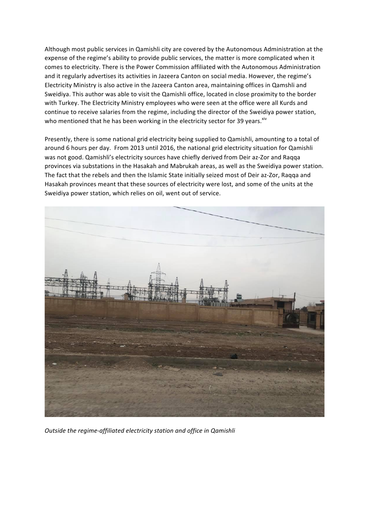Although most public services in Qamishli city are covered by the Autonomous Administration at the expense of the regime's ability to provide public services, the matter is more complicated when it comes to electricity. There is the Power Commission affiliated with the Autonomous Administration and it regularly advertises its activities in Jazeera Canton on social media. However, the regime's Electricity Ministry is also active in the Jazeera Canton area, maintaining offices in Qamshli and Sweidiya. This author was able to visit the Qamishli office, located in close proximity to the border with Turkey. The Electricity Ministry employees who were seen at the office were all Kurds and continue to receive salaries from the regime, including the director of the Sweidiya power station, who mentioned that he has been working in the electricity sector for 39 years.<sup>xiv</sup>

Presently, there is some national grid electricity being supplied to Qamishli, amounting to a total of around 6 hours per day. From 2013 until 2016, the national grid electricity situation for Qamishli was not good. Qamishli's electricity sources have chiefly derived from Deir az-Zor and Raqqa provinces via substations in the Hasakah and Mabrukah areas, as well as the Sweidiya power station. The fact that the rebels and then the Islamic State initially seized most of Deir az-Zor, Raqqa and Hasakah provinces meant that these sources of electricity were lost, and some of the units at the Sweidiya power station, which relies on oil, went out of service.



**Outside the regime-affiliated electricity station and office in Qamishli**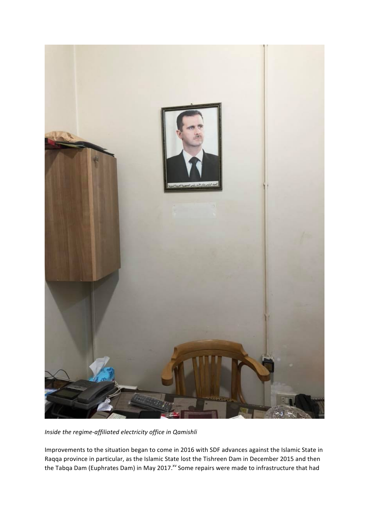

*Inside the regime-affiliated electricity office in Qamishli* 

Improvements to the situation began to come in 2016 with SDF advances against the Islamic State in Raqqa province in particular, as the Islamic State lost the Tishreen Dam in December 2015 and then the Tabqa Dam (Euphrates Dam) in May 2017.<sup>xv</sup> Some repairs were made to infrastructure that had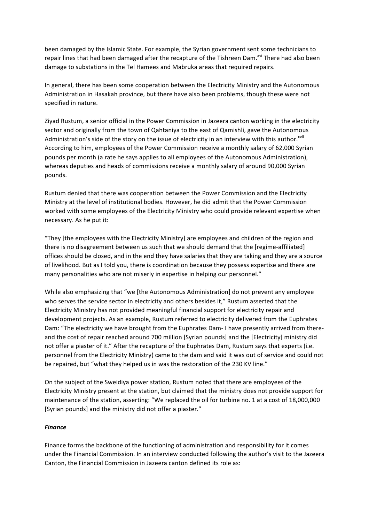been damaged by the Islamic State. For example, the Syrian government sent some technicians to repair lines that had been damaged after the recapture of the Tishreen Dam.<sup>xvi</sup> There had also been damage to substations in the Tel Hamees and Mabruka areas that required repairs.

In general, there has been some cooperation between the Electricity Ministry and the Autonomous Administration in Hasakah province, but there have also been problems, though these were not specified in nature.

Ziyad Rustum, a senior official in the Power Commission in Jazeera canton working in the electricity sector and originally from the town of Qahtaniya to the east of Qamishli, gave the Autonomous Administration's side of the story on the issue of electricity in an interview with this author.<sup>xvii</sup> According to him, employees of the Power Commission receive a monthly salary of 62,000 Syrian pounds per month (a rate he says applies to all employees of the Autonomous Administration), whereas deputies and heads of commissions receive a monthly salary of around 90,000 Syrian pounds.

Rustum denied that there was cooperation between the Power Commission and the Electricity Ministry at the level of institutional bodies. However, he did admit that the Power Commission worked with some employees of the Electricity Ministry who could provide relevant expertise when necessary. As he put it:

"They [the employees with the Electricity Ministry] are employees and children of the region and there is no disagreement between us such that we should demand that the [regime-affiliated] offices should be closed, and in the end they have salaries that they are taking and they are a source of livelihood. But as I told you, there is coordination because they possess expertise and there are many personalities who are not miserly in expertise in helping our personnel."

While also emphasizing that "we [the Autonomous Administration] do not prevent any employee who serves the service sector in electricity and others besides it," Rustum asserted that the Electricity Ministry has not provided meaningful financial support for electricity repair and development projects. As an example, Rustum referred to electricity delivered from the Euphrates Dam: "The electricity we have brought from the Euphrates Dam- I have presently arrived from thereand the cost of repair reached around 700 million [Syrian pounds] and the [Electricity] ministry did not offer a piaster of it." After the recapture of the Euphrates Dam, Rustum says that experts (i.e. personnel from the Electricity Ministry) came to the dam and said it was out of service and could not be repaired, but "what they helped us in was the restoration of the 230 KV line."

On the subject of the Sweidiya power station, Rustum noted that there are employees of the Electricity Ministry present at the station, but claimed that the ministry does not provide support for maintenance of the station, asserting: "We replaced the oil for turbine no. 1 at a cost of 18,000,000 [Syrian pounds] and the ministry did not offer a piaster."

## *Finance*

Finance forms the backbone of the functioning of administration and responsibility for it comes under the Financial Commission. In an interview conducted following the author's visit to the Jazeera Canton, the Financial Commission in Jazeera canton defined its role as: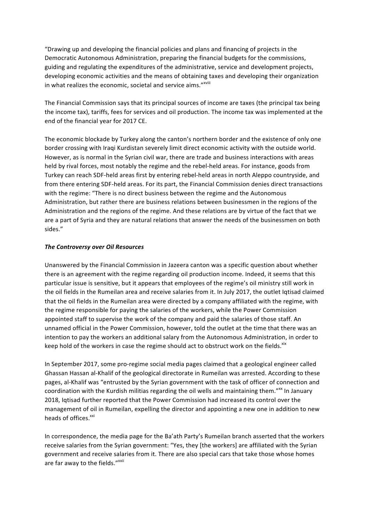"Drawing up and developing the financial policies and plans and financing of projects in the Democratic Autonomous Administration, preparing the financial budgets for the commissions, guiding and regulating the expenditures of the administrative, service and development projects, developing economic activities and the means of obtaining taxes and developing their organization in what realizes the economic, societal and service aims."Xviii

The Financial Commission says that its principal sources of income are taxes (the principal tax being the income tax), tariffs, fees for services and oil production. The income tax was implemented at the end of the financial year for 2017 CE.

The economic blockade by Turkey along the canton's northern border and the existence of only one border crossing with Iraqi Kurdistan severely limit direct economic activity with the outside world. However, as is normal in the Syrian civil war, there are trade and business interactions with areas held by rival forces, most notably the regime and the rebel-held areas. For instance, goods from Turkey can reach SDF-held areas first by entering rebel-held areas in north Aleppo countryside, and from there entering SDF-held areas. For its part, the Financial Commission denies direct transactions with the regime: "There is no direct business between the regime and the Autonomous Administration, but rather there are business relations between businessmen in the regions of the Administration and the regions of the regime. And these relations are by virtue of the fact that we are a part of Syria and they are natural relations that answer the needs of the businessmen on both sides." 

## *The Controversy over Oil Resources*

Unanswered by the Financial Commission in Jazeera canton was a specific question about whether there is an agreement with the regime regarding oil production income. Indeed, it seems that this particular issue is sensitive, but it appears that employees of the regime's oil ministry still work in the oil fields in the Rumeilan area and receive salaries from it. In July 2017, the outlet Iqtisad claimed that the oil fields in the Rumeilan area were directed by a company affiliated with the regime, with the regime responsible for paying the salaries of the workers, while the Power Commission appointed staff to supervise the work of the company and paid the salaries of those staff. An unnamed official in the Power Commission, however, told the outlet at the time that there was an intention to pay the workers an additional salary from the Autonomous Administration, in order to keep hold of the workers in case the regime should act to obstruct work on the fields.<sup>xix</sup>

In September 2017, some pro-regime social media pages claimed that a geological engineer called Ghassan Hassan al-Khalif of the geological directorate in Rumeilan was arrested. According to these pages, al-Khalif was "entrusted by the Syrian government with the task of officer of connection and coordination with the Kurdish militias regarding the oil wells and maintaining them."<sup>xx</sup> In January 2018, Iqtisad further reported that the Power Commission had increased its control over the management of oil in Rumeilan, expelling the director and appointing a new one in addition to new heads of offices.<sup>xxi</sup>

In correspondence, the media page for the Ba'ath Party's Rumeilan branch asserted that the workers receive salaries from the Syrian government: "Yes, they [the workers] are affiliated with the Syrian government and receive salaries from it. There are also special cars that take those whose homes are far away to the fields."xxii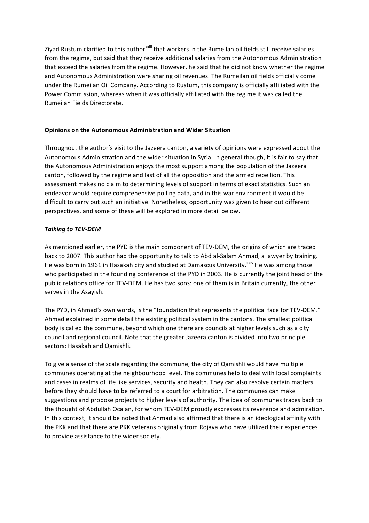Ziyad Rustum clarified to this author<sup>xxiii</sup> that workers in the Rumeilan oil fields still receive salaries from the regime, but said that they receive additional salaries from the Autonomous Administration that exceed the salaries from the regime. However, he said that he did not know whether the regime and Autonomous Administration were sharing oil revenues. The Rumeilan oil fields officially come under the Rumeilan Oil Company. According to Rustum, this company is officially affiliated with the Power Commission, whereas when it was officially affiliated with the regime it was called the Rumeilan Fields Directorate.

## **Opinions on the Autonomous Administration and Wider Situation**

Throughout the author's visit to the Jazeera canton, a variety of opinions were expressed about the Autonomous Administration and the wider situation in Syria. In general though, it is fair to say that the Autonomous Administration enjoys the most support among the population of the Jazeera canton, followed by the regime and last of all the opposition and the armed rebellion. This assessment makes no claim to determining levels of support in terms of exact statistics. Such an endeavor would require comprehensive polling data, and in this war environment it would be difficult to carry out such an initiative. Nonetheless, opportunity was given to hear out different perspectives, and some of these will be explored in more detail below.

# **Talking to TEV-DEM**

As mentioned earlier, the PYD is the main component of TEV-DEM, the origins of which are traced back to 2007. This author had the opportunity to talk to Abd al-Salam Ahmad, a lawyer by training. He was born in 1961 in Hasakah city and studied at Damascus University.<sup>xxiv</sup> He was among those who participated in the founding conference of the PYD in 2003. He is currently the joint head of the public relations office for TEV-DEM. He has two sons: one of them is in Britain currently, the other serves in the Asayish.

The PYD, in Ahmad's own words, is the "foundation that represents the political face for TEV-DEM." Ahmad explained in some detail the existing political system in the cantons. The smallest political body is called the commune, beyond which one there are councils at higher levels such as a city council and regional council. Note that the greater Jazeera canton is divided into two principle sectors: Hasakah and Qamishli.

To give a sense of the scale regarding the commune, the city of Qamishli would have multiple communes operating at the neighbourhood level. The communes help to deal with local complaints and cases in realms of life like services, security and health. They can also resolve certain matters before they should have to be referred to a court for arbitration. The communes can make suggestions and propose projects to higher levels of authority. The idea of communes traces back to the thought of Abdullah Ocalan, for whom TEV-DEM proudly expresses its reverence and admiration. In this context, it should be noted that Ahmad also affirmed that there is an ideological affinity with the PKK and that there are PKK veterans originally from Rojava who have utilized their experiences to provide assistance to the wider society.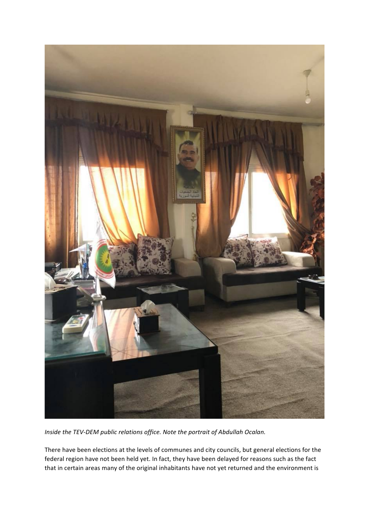

*Inside the TEV-DEM public relations office. Note the portrait of Abdullah Ocalan.* 

There have been elections at the levels of communes and city councils, but general elections for the federal region have not been held yet. In fact, they have been delayed for reasons such as the fact that in certain areas many of the original inhabitants have not yet returned and the environment is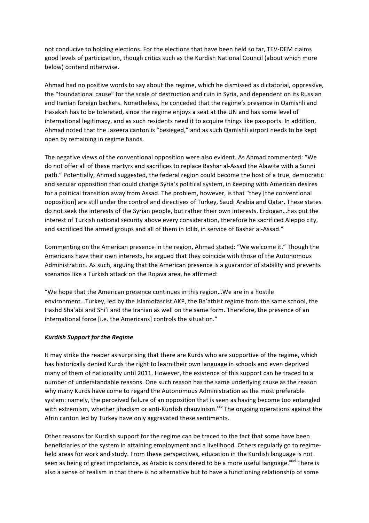not conducive to holding elections. For the elections that have been held so far, TEV-DEM claims good levels of participation, though critics such as the Kurdish National Council (about which more below) contend otherwise.

Ahmad had no positive words to say about the regime, which he dismissed as dictatorial, oppressive, the "foundational cause" for the scale of destruction and ruin in Syria, and dependent on its Russian and Iranian foreign backers. Nonetheless, he conceded that the regime's presence in Qamishli and Hasakah has to be tolerated, since the regime enjoys a seat at the UN and has some level of international legitimacy, and as such residents need it to acquire things like passports. In addition, Ahmad noted that the Jazeera canton is "besieged," and as such Qamishli airport needs to be kept open by remaining in regime hands.

The negative views of the conventional opposition were also evident. As Ahmad commented: "We do not offer all of these martyrs and sacrifices to replace Bashar al-Assad the Alawite with a Sunni path." Potentially, Ahmad suggested, the federal region could become the host of a true, democratic and secular opposition that could change Syria's political system, in keeping with American desires for a political transition away from Assad. The problem, however, is that "they [the conventional opposition] are still under the control and directives of Turkey, Saudi Arabia and Qatar. These states do not seek the interests of the Syrian people, but rather their own interests. Erdogan...has put the interest of Turkish national security above every consideration, therefore he sacrificed Aleppo city, and sacrificed the armed groups and all of them in Idlib, in service of Bashar al-Assad."

Commenting on the American presence in the region, Ahmad stated: "We welcome it." Though the Americans have their own interests, he argued that they coincide with those of the Autonomous Administration. As such, arguing that the American presence is a guarantor of stability and prevents scenarios like a Turkish attack on the Rojava area, he affirmed:

"We hope that the American presence continues in this region...We are in a hostile environment...Turkey, led by the Islamofascist AKP, the Ba'athist regime from the same school, the Hashd Sha'abi and Shi'i and the Iranian as well on the same form. Therefore, the presence of an international force [i.e. the Americans] controls the situation."

## *Kurdish Support for the Regime*

It may strike the reader as surprising that there are Kurds who are supportive of the regime, which has historically denied Kurds the right to learn their own language in schools and even deprived many of them of nationality until 2011. However, the existence of this support can be traced to a number of understandable reasons. One such reason has the same underlying cause as the reason why many Kurds have come to regard the Autonomous Administration as the most preferable system: namely, the perceived failure of an opposition that is seen as having become too entangled with extremism, whether jihadism or anti-Kurdish chauvinism.<sup>xxv</sup> The ongoing operations against the Afrin canton led by Turkey have only aggravated these sentiments.

Other reasons for Kurdish support for the regime can be traced to the fact that some have been beneficiaries of the system in attaining employment and a livelihood. Others regularly go to regimeheld areas for work and study. From these perspectives, education in the Kurdish language is not seen as being of great importance, as Arabic is considered to be a more useful language.<sup>xxvi</sup> There is also a sense of realism in that there is no alternative but to have a functioning relationship of some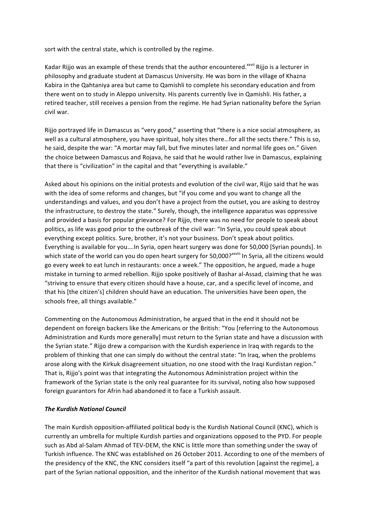sort with the central state, which is controlled by the regime.

Kadar Rijjo was an example of these trends that the author encountered.<sup>xxvii</sup> Rijjo is a lecturer in philosophy and graduate student at Damascus University. He was born in the village of Khazna Kabira in the Qahtaniya area but came to Qamishli to complete his secondary education and from there went on to study in Aleppo university. His parents currently live in Qamishli. His father, a retired teacher, still receives a pension from the regime. He had Syrian nationality before the Syrian civil war.

Rijjo portrayed life in Damascus as "very good," asserting that "there is a nice social atmosphere, as well as a cultural atmosphere, you have spiritual, holy sites there...for all the sects there." This is so, he said, despite the war: "A mortar may fall, but five minutes later and normal life goes on." Given the choice between Damascus and Rojava, he said that he would rather live in Damascus, explaining that there is "civilization" in the capital and that "everything is available."

Asked about his opinions on the initial protests and evolution of the civil war, Rijjo said that he was with the idea of some reforms and changes, but "if you come and you want to change all the understandings and values, and you don't have a project from the outset, you are asking to destroy the infrastructure, to destroy the state." Surely, though, the intelligence apparatus was oppressive and provided a basis for popular grievance? For Rijjo, there was no need for people to speak about politics, as life was good prior to the outbreak of the civil war: "In Syria, you could speak about everything except politics. Sure, brother, it's not your business. Don't speak about politics. Everything is available for you....In Syria, open heart surgery was done for 50,000 [Syrian pounds]. In which state of the world can you do open heart surgery for 50,000?<sup>xxviii</sup> In Syria, all the citizens would go every week to eat lunch in restaurants: once a week." The opposition, he argued, made a huge mistake in turning to armed rebellion. Rijjo spoke positively of Bashar al-Assad, claiming that he was "striving to ensure that every citizen should have a house, car, and a specific level of income, and that his [the citizen's] children should have an education. The universities have been open, the schools free, all things available."

Commenting on the Autonomous Administration, he argued that in the end it should not be dependent on foreign backers like the Americans or the British: "You [referring to the Autonomous Administration and Kurds more generally] must return to the Syrian state and have a discussion with the Syrian state." Rijjo drew a comparison with the Kurdish experience in Iraq with regards to the problem of thinking that one can simply do without the central state: "In Iraq, when the problems arose along with the Kirkuk disagreement situation, no one stood with the Iraqi Kurdistan region." That is, Rijjo's point was that integrating the Autonomous Administration project within the framework of the Syrian state is the only real guarantee for its survival, noting also how supposed foreign guarantors for Afrin had abandoned it to face a Turkish assault.

## **The Kurdish National Council**

The main Kurdish opposition-affiliated political body is the Kurdish National Council (KNC), which is currently an umbrella for multiple Kurdish parties and organizations opposed to the PYD. For people such as Abd al-Salam Ahmad of TEV-DEM, the KNC is little more than something under the sway of Turkish influence. The KNC was established on 26 October 2011. According to one of the members of the presidency of the KNC, the KNC considers itself "a part of this revolution [against the regime], a part of the Syrian national opposition, and the inheritor of the Kurdish national movement that was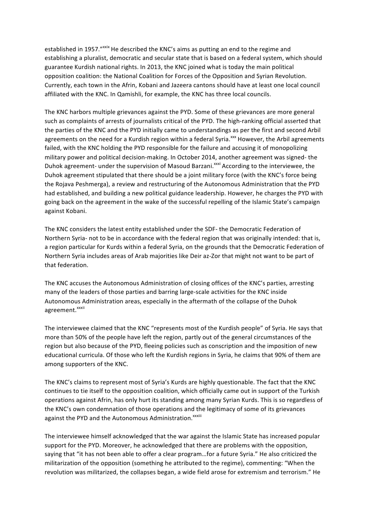established in 1957."<sup>xxix</sup> He described the KNC's aims as putting an end to the regime and establishing a pluralist, democratic and secular state that is based on a federal system, which should guarantee Kurdish national rights. In 2013, the KNC joined what is today the main political opposition coalition: the National Coalition for Forces of the Opposition and Syrian Revolution. Currently, each town in the Afrin, Kobani and Jazeera cantons should have at least one local council affiliated with the KNC. In Qamishli, for example, the KNC has three local councils.

The KNC harbors multiple grievances against the PYD. Some of these grievances are more general such as complaints of arrests of journalists critical of the PYD. The high-ranking official asserted that the parties of the KNC and the PYD initially came to understandings as per the first and second Arbil agreements on the need for a Kurdish region within a federal Syria.<sup>xxx</sup> However, the Arbil agreements failed, with the KNC holding the PYD responsible for the failure and accusing it of monopolizing military power and political decision-making. In October 2014, another agreement was signed- the Duhok agreement- under the supervision of Masoud Barzani.<sup>xxxi</sup> According to the interviewee, the Duhok agreement stipulated that there should be a joint military force (with the KNC's force being the Rojava Peshmerga), a review and restructuring of the Autonomous Administration that the PYD had established, and building a new political guidance leadership. However, he charges the PYD with going back on the agreement in the wake of the successful repelling of the Islamic State's campaign against Kobani.

The KNC considers the latest entity established under the SDF- the Democratic Federation of Northern Syria- not to be in accordance with the federal region that was originally intended: that is, a region particular for Kurds within a federal Syria, on the grounds that the Democratic Federation of Northern Syria includes areas of Arab majorities like Deir az-Zor that might not want to be part of that federation.

The KNC accuses the Autonomous Administration of closing offices of the KNC's parties, arresting many of the leaders of those parties and barring large-scale activities for the KNC inside Autonomous Administration areas, especially in the aftermath of the collapse of the Duhok agreement.<sup>xxxii</sup>

The interviewee claimed that the KNC "represents most of the Kurdish people" of Syria. He says that more than 50% of the people have left the region, partly out of the general circumstances of the region but also because of the PYD, fleeing policies such as conscription and the imposition of new educational curricula. Of those who left the Kurdish regions in Syria, he claims that 90% of them are among supporters of the KNC.

The KNC's claims to represent most of Syria's Kurds are highly questionable. The fact that the KNC continues to tie itself to the opposition coalition, which officially came out in support of the Turkish operations against Afrin, has only hurt its standing among many Syrian Kurds. This is so regardless of the KNC's own condemnation of those operations and the legitimacy of some of its grievances against the PYD and the Autonomous Administration.<sup>xxxiii</sup>

The interviewee himself acknowledged that the war against the Islamic State has increased popular support for the PYD. Moreover, he acknowledged that there are problems with the opposition, saying that "it has not been able to offer a clear program...for a future Syria." He also criticized the militarization of the opposition (something he attributed to the regime), commenting: "When the revolution was militarized, the collapses began, a wide field arose for extremism and terrorism." He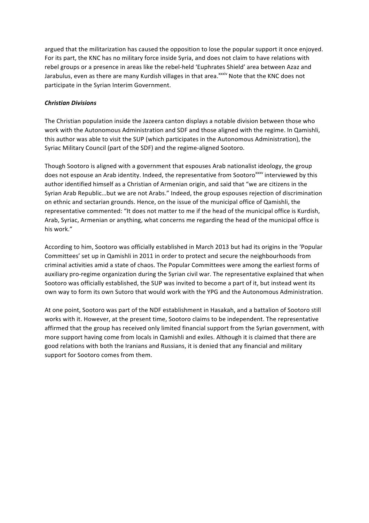argued that the militarization has caused the opposition to lose the popular support it once enjoyed. For its part, the KNC has no military force inside Syria, and does not claim to have relations with rebel groups or a presence in areas like the rebel-held 'Euphrates Shield' area between Azaz and Jarabulus, even as there are many Kurdish villages in that area.<sup>xxxiv</sup> Note that the KNC does not participate in the Syrian Interim Government.

#### *Christian Divisions*

The Christian population inside the Jazeera canton displays a notable division between those who work with the Autonomous Administration and SDF and those aligned with the regime. In Qamishli, this author was able to visit the SUP (which participates in the Autonomous Administration), the Syriac Military Council (part of the SDF) and the regime-aligned Sootoro.

Though Sootoro is aligned with a government that espouses Arab nationalist ideology, the group does not espouse an Arab identity. Indeed, the representative from Sootoro<sup>xxxv</sup> interviewed by this author identified himself as a Christian of Armenian origin, and said that "we are citizens in the Syrian Arab Republic...but we are not Arabs." Indeed, the group espouses rejection of discrimination on ethnic and sectarian grounds. Hence, on the issue of the municipal office of Qamishli, the representative commented: "It does not matter to me if the head of the municipal office is Kurdish, Arab, Syriac, Armenian or anything, what concerns me regarding the head of the municipal office is his work."

According to him, Sootoro was officially established in March 2013 but had its origins in the 'Popular Committees' set up in Qamishli in 2011 in order to protect and secure the neighbourhoods from criminal activities amid a state of chaos. The Popular Committees were among the earliest forms of auxiliary pro-regime organization during the Syrian civil war. The representative explained that when Sootoro was officially established, the SUP was invited to become a part of it, but instead went its own way to form its own Sutoro that would work with the YPG and the Autonomous Administration.

At one point, Sootoro was part of the NDF establishment in Hasakah, and a battalion of Sootoro still works with it. However, at the present time, Sootoro claims to be independent. The representative affirmed that the group has received only limited financial support from the Syrian government, with more support having come from locals in Qamishli and exiles. Although it is claimed that there are good relations with both the Iranians and Russians, it is denied that any financial and military support for Sootoro comes from them.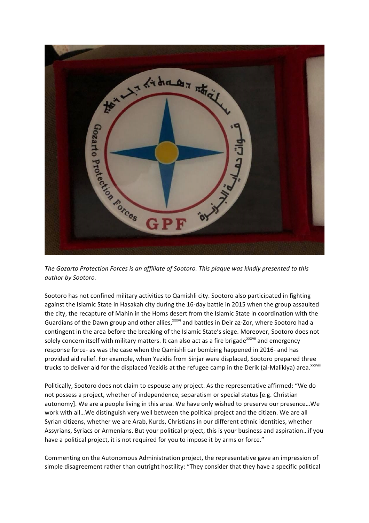

The Gozarto Protection Forces is an affiliate of Sootoro. This plaque was kindly presented to this *author by Sootoro.*

Sootoro has not confined military activities to Qamishli city. Sootoro also participated in fighting against the Islamic State in Hasakah city during the 16-day battle in 2015 when the group assaulted the city, the recapture of Mahin in the Homs desert from the Islamic State in coordination with the Guardians of the Dawn group and other allies,<sup>xxxvi</sup> and battles in Deir az-Zor, where Sootoro had a contingent in the area before the breaking of the Islamic State's siege. Moreover, Sootoro does not solely concern itself with military matters. It can also act as a fire brigade<sup>xxxvii</sup> and emergency response force- as was the case when the Qamishli car bombing happened in 2016- and has provided aid relief. For example, when Yezidis from Sinjar were displaced, Sootoro prepared three trucks to deliver aid for the displaced Yezidis at the refugee camp in the Derik (al-Malikiya) area.<sup>xxxviii</sup>

Politically, Sootoro does not claim to espouse any project. As the representative affirmed: "We do not possess a project, whether of independence, separatism or special status [e.g. Christian autonomy]. We are a people living in this area. We have only wished to preserve our presence...We work with all... We distinguish very well between the political project and the citizen. We are all Syrian citizens, whether we are Arab, Kurds, Christians in our different ethnic identities, whether Assyrians, Syriacs or Armenians. But your political project, this is your business and aspiration...if you have a political project, it is not required for you to impose it by arms or force."

Commenting on the Autonomous Administration project, the representative gave an impression of simple disagreement rather than outright hostility: "They consider that they have a specific political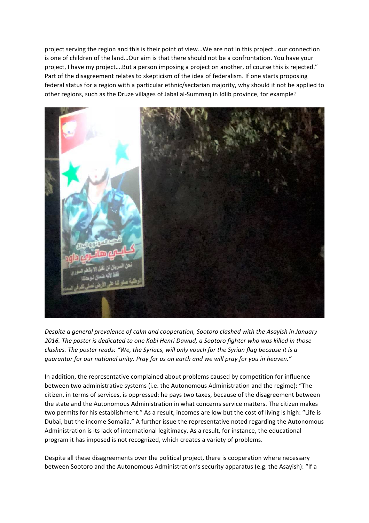project serving the region and this is their point of view...We are not in this project...our connection is one of children of the land...Our aim is that there should not be a confrontation. You have your project, I have my project....But a person imposing a project on another, of course this is rejected." Part of the disagreement relates to skepticism of the idea of federalism. If one starts proposing federal status for a region with a particular ethnic/sectarian majority, why should it not be applied to other regions, such as the Druze villages of Jabal al-Summaq in Idlib province, for example?



*Despite a general prevalence of calm and cooperation, Sootoro clashed with the Asayish in January* 2016. The poster is dedicated to one Kabi Henri Dawud, a Sootoro fighter who was killed in those *clashes.* The poster reads: "We, the Syriacs, will only vouch for the Syrian flag because it is a *guarantor for our national unity. Pray for us on earth and we will pray for you in heaven."* 

In addition, the representative complained about problems caused by competition for influence between two administrative systems (i.e. the Autonomous Administration and the regime): "The citizen, in terms of services, is oppressed: he pays two taxes, because of the disagreement between the state and the Autonomous Administration in what concerns service matters. The citizen makes two permits for his establishment." As a result, incomes are low but the cost of living is high: "Life is Dubai, but the income Somalia." A further issue the representative noted regarding the Autonomous Administration is its lack of international legitimacy. As a result, for instance, the educational program it has imposed is not recognized, which creates a variety of problems.

Despite all these disagreements over the political project, there is cooperation where necessary between Sootoro and the Autonomous Administration's security apparatus (e.g. the Asayish): "If a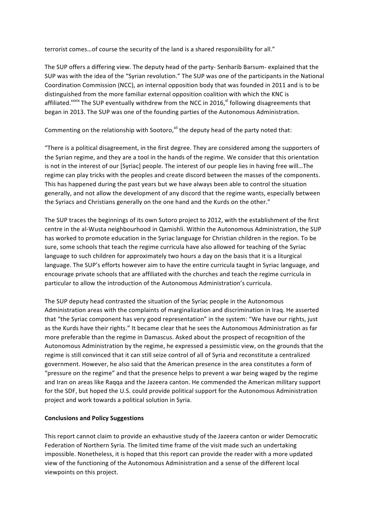terrorist comes...of course the security of the land is a shared responsibility for all."

The SUP offers a differing view. The deputy head of the party- Senharib Barsum- explained that the SUP was with the idea of the "Syrian revolution." The SUP was one of the participants in the National Coordination Commission (NCC), an internal opposition body that was founded in 2011 and is to be distinguished from the more familiar external opposition coalition with which the KNC is affiliated.<sup>xxxix</sup> The SUP eventually withdrew from the NCC in 2016,<sup>xl</sup> following disagreements that began in 2013. The SUP was one of the founding parties of the Autonomous Administration.

Commenting on the relationship with Sootoro, $x$ <sup>ii</sup> the deputy head of the party noted that:

"There is a political disagreement, in the first degree. They are considered among the supporters of the Syrian regime, and they are a tool in the hands of the regime. We consider that this orientation is not in the interest of our [Syriac] people. The interest of our people lies in having free will...The regime can play tricks with the peoples and create discord between the masses of the components. This has happened during the past years but we have always been able to control the situation generally, and not allow the development of any discord that the regime wants, especially between the Syriacs and Christians generally on the one hand and the Kurds on the other."

The SUP traces the beginnings of its own Sutoro project to 2012, with the establishment of the first centre in the al-Wusta neighbourhood in Qamishli. Within the Autonomous Administration, the SUP has worked to promote education in the Syriac language for Christian children in the region. To be sure, some schools that teach the regime curricula have also allowed for teaching of the Syriac language to such children for approximately two hours a day on the basis that it is a liturgical language. The SUP's efforts however aim to have the entire curricula taught in Syriac language, and encourage private schools that are affiliated with the churches and teach the regime curricula in particular to allow the introduction of the Autonomous Administration's curricula.

The SUP deputy head contrasted the situation of the Syriac people in the Autonomous Administration areas with the complaints of marginalization and discrimination in Iraq. He asserted that "the Syriac component has very good representation" in the system: "We have our rights, just as the Kurds have their rights." It became clear that he sees the Autonomous Administration as far more preferable than the regime in Damascus. Asked about the prospect of recognition of the Autonomous Administration by the regime, he expressed a pessimistic view, on the grounds that the regime is still convinced that it can still seize control of all of Syria and reconstitute a centralized government. However, he also said that the American presence in the area constitutes a form of "pressure on the regime" and that the presence helps to prevent a war being waged by the regime and Iran on areas like Raqqa and the Jazeera canton. He commended the American military support for the SDF, but hoped the U.S. could provide political support for the Autonomous Administration project and work towards a political solution in Syria.

## **Conclusions and Policy Suggestions**

This report cannot claim to provide an exhaustive study of the Jazeera canton or wider Democratic Federation of Northern Syria. The limited time frame of the visit made such an undertaking impossible. Nonetheless, it is hoped that this report can provide the reader with a more updated view of the functioning of the Autonomous Administration and a sense of the different local viewpoints on this project.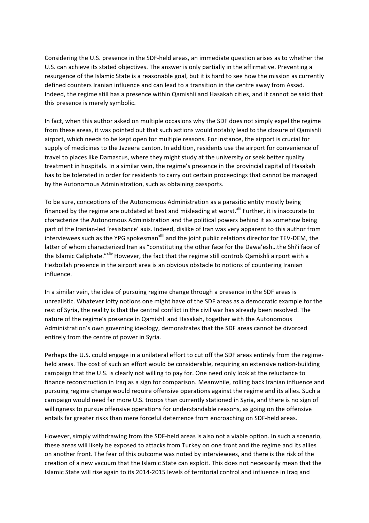Considering the U.S. presence in the SDF-held areas, an immediate question arises as to whether the U.S. can achieve its stated objectives. The answer is only partially in the affirmative. Preventing a resurgence of the Islamic State is a reasonable goal, but it is hard to see how the mission as currently defined counters Iranian influence and can lead to a transition in the centre away from Assad. Indeed, the regime still has a presence within Qamishli and Hasakah cities, and it cannot be said that this presence is merely symbolic.

In fact, when this author asked on multiple occasions why the SDF does not simply expel the regime from these areas, it was pointed out that such actions would notably lead to the closure of Qamishli airport, which needs to be kept open for multiple reasons. For instance, the airport is crucial for supply of medicines to the Jazeera canton. In addition, residents use the airport for convenience of travel to places like Damascus, where they might study at the university or seek better quality treatment in hospitals. In a similar vein, the regime's presence in the provincial capital of Hasakah has to be tolerated in order for residents to carry out certain proceedings that cannot be managed by the Autonomous Administration, such as obtaining passports.

To be sure, conceptions of the Autonomous Administration as a parasitic entity mostly being financed by the regime are outdated at best and misleading at worst.<sup>xlii</sup> Further, it is inaccurate to characterize the Autonomous Administration and the political powers behind it as somehow being part of the Iranian-led 'resistance' axis. Indeed, dislike of Iran was very apparent to this author from interviewees such as the YPG spokesman<sup>xliii</sup> and the joint public relations director for TEV-DEM, the latter of whom characterized Iran as "constituting the other face for the Dawa'esh...the Shi'i face of the Islamic Caliphate."<sup>xliv</sup> However, the fact that the regime still controls Qamishli airport with a Hezbollah presence in the airport area is an obvious obstacle to notions of countering Iranian influence.

In a similar vein, the idea of pursuing regime change through a presence in the SDF areas is unrealistic. Whatever lofty notions one might have of the SDF areas as a democratic example for the rest of Syria, the reality is that the central conflict in the civil war has already been resolved. The nature of the regime's presence in Qamishli and Hasakah, together with the Autonomous Administration's own governing ideology, demonstrates that the SDF areas cannot be divorced entirely from the centre of power in Syria.

Perhaps the U.S. could engage in a unilateral effort to cut off the SDF areas entirely from the regimeheld areas. The cost of such an effort would be considerable, requiring an extensive nation-building campaign that the U.S. is clearly not willing to pay for. One need only look at the reluctance to finance reconstruction in Iraq as a sign for comparison. Meanwhile, rolling back Iranian influence and pursuing regime change would require offensive operations against the regime and its allies. Such a campaign would need far more U.S. troops than currently stationed in Syria, and there is no sign of willingness to pursue offensive operations for understandable reasons, as going on the offensive entails far greater risks than mere forceful deterrence from encroaching on SDF-held areas.

However, simply withdrawing from the SDF-held areas is also not a viable option. In such a scenario, these areas will likely be exposed to attacks from Turkey on one front and the regime and its allies on another front. The fear of this outcome was noted by interviewees, and there is the risk of the creation of a new vacuum that the Islamic State can exploit. This does not necessarily mean that the Islamic State will rise again to its 2014-2015 levels of territorial control and influence in Iraq and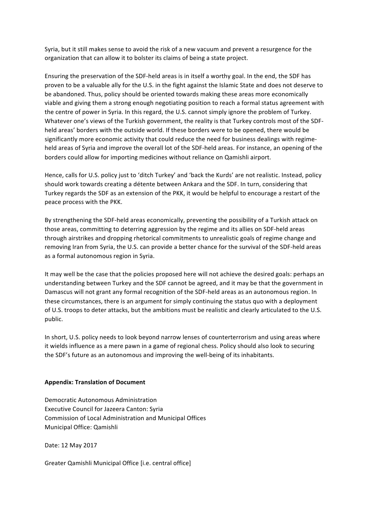Syria, but it still makes sense to avoid the risk of a new vacuum and prevent a resurgence for the organization that can allow it to bolster its claims of being a state project.

Ensuring the preservation of the SDF-held areas is in itself a worthy goal. In the end, the SDF has proven to be a valuable ally for the U.S. in the fight against the Islamic State and does not deserve to be abandoned. Thus, policy should be oriented towards making these areas more economically viable and giving them a strong enough negotiating position to reach a formal status agreement with the centre of power in Syria. In this regard, the U.S. cannot simply ignore the problem of Turkey. Whatever one's views of the Turkish government, the reality is that Turkey controls most of the SDFheld areas' borders with the outside world. If these borders were to be opened, there would be significantly more economic activity that could reduce the need for business dealings with regimeheld areas of Syria and improve the overall lot of the SDF-held areas. For instance, an opening of the borders could allow for importing medicines without reliance on Qamishli airport.

Hence, calls for U.S. policy just to 'ditch Turkey' and 'back the Kurds' are not realistic. Instead, policy should work towards creating a détente between Ankara and the SDF. In turn, considering that Turkey regards the SDF as an extension of the PKK, it would be helpful to encourage a restart of the peace process with the PKK.

By strengthening the SDF-held areas economically, preventing the possibility of a Turkish attack on those areas, committing to deterring aggression by the regime and its allies on SDF-held areas through airstrikes and dropping rhetorical commitments to unrealistic goals of regime change and removing Iran from Syria, the U.S. can provide a better chance for the survival of the SDF-held areas as a formal autonomous region in Syria.

It may well be the case that the policies proposed here will not achieve the desired goals: perhaps an understanding between Turkey and the SDF cannot be agreed, and it may be that the government in Damascus will not grant any formal recognition of the SDF-held areas as an autonomous region. In these circumstances, there is an argument for simply continuing the status quo with a deployment of U.S. troops to deter attacks, but the ambitions must be realistic and clearly articulated to the U.S. public. 

In short, U.S. policy needs to look beyond narrow lenses of counterterrorism and using areas where it wields influence as a mere pawn in a game of regional chess. Policy should also look to securing the SDF's future as an autonomous and improving the well-being of its inhabitants.

## **Appendix: Translation of Document**

Democratic Autonomous Administration Executive Council for Jazeera Canton: Syria Commission of Local Administration and Municipal Offices Municipal Office: Qamishli

Date: 12 May 2017

Greater Qamishli Municipal Office [i.e. central office]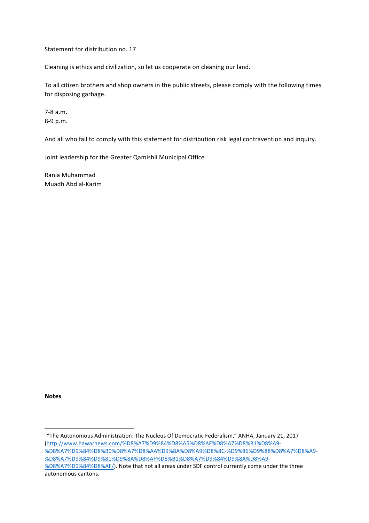Statement for distribution no. 17

Cleaning is ethics and civilization, so let us cooperate on cleaning our land.

To all citizen brothers and shop owners in the public streets, please comply with the following times for disposing garbage.

7-8 a.m. 8-9 p.m.

And all who fail to comply with this statement for distribution risk legal contravention and inquiry.

Joint leadership for the Greater Qamishli Municipal Office

Rania Muhammad Muadh Abd al-Karim

**Notes** 

<u> 1989 - Johann Stein, fransk politiker (d. 1989)</u>

<sup>&</sup>lt;sup>i</sup> "The Autonomous Administration: The Nucleus Of Democratic Federalism," ANHA, January 21, 2017 (http://www.hawarnews.com/%D8%A7%D9%84%D8%A5%D8%AF%D8%A7%D8%B1%D8%A9- %D8%A7%D9%84%D8%B0%D8%A7%D8%AA%D9%8A%D8%A9%D8%8C-%D9%86%D9%88%D8%A7%D8%A9- %D8%A7%D9%84%D9%81%D9%8A%D8%AF%D8%B1%D8%A7%D9%84%D9%8A%D8%A9- %D8%A7%D9%84%D8%AF/). Note that not all areas under SDF control currently come under the three autonomous cantons.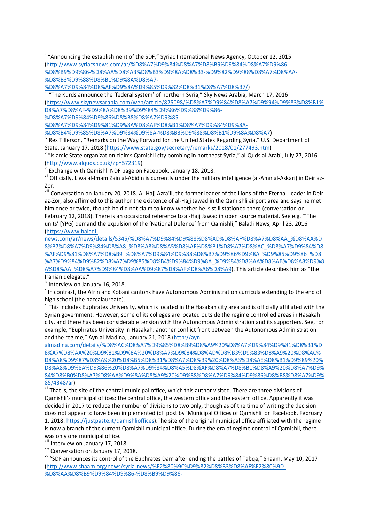<u> 1989 - Johann Stoff, fransk politik (d. 1989)</u> <sup>ii</sup> "Announcing the establishment of the SDF," Syriac International News Agency, October 12, 2015 (http://www.syriacsnews.com/ar/%D8%A7%D9%84%D8%A7%D8%B9%D9%84%D8%A7%D9%86- %D8%B9%D9%86-%D8%AA%D8%A3%D8%B3%D9%8A%D8%B3-%D9%82%D9%88%D8%A7%D8%AA- %D8%B3%D9%88%D8%B1%D9%8A%D8%A7-

%D8%A7%D9%84%D8%AF%D9%8A%D9%85%D9%82%D8%B1%D8%A7%D8%B7/)<br><sup>iii</sup> "The Kurds announce the 'federal system' of northern Syria," Sky News Arabia, March 17, 2016 (https://www.skynewsarabia.com/web/article/825098/%D8%A7%D9%84%D8%A7%D9%94%D9%83%D8%B1% D8%A7%D8%AF-%D9%8A%D8%B9%D9%84%D9%86%D9%88%D9%86- %D8%A7%D9%84%D9%86%D8%B8%D8%A7%D9%85-

%D8%A7%D9%84%D9%81%D9%8A%D8%AF%D8%B1%D8%A7%D9%84%D9%8A-

%D8%B4%D9%85%D8%A7%D9%84%D9%8A-%D8%B3%D9%88%D8%B1%D9%8A%D8%A7)<br><sup>iv</sup> Rex Tillerson, "Remarks on the Way Forward for the United States Regarding Syria," U.S. Department of

State, January 17, 2018 (https://www.state.gov/secretary/remarks/2018/01/277493.htm)<br><sup>V</sup> "Islamic State organization claims Qamishli city bombing in northeast Syria," al-Quds al-Arabi, July 27, 2016 (http://www.alquds.co.uk/?p=572319)<br>vi Exchange with Qamishli NDF page on Facebook, January 18, 2018.

vii Officially, Liwa al-Imam Zain al-Abidin is currently under the military intelligence (al-Amn al-Askari) in Deir az-Zor.

viii Conversation on January 20, 2018. Al-Hajj Azra'il, the former leader of the Lions of the Eternal Leader in Deir az-Zor, also affirmed to this author the existence of al-Hajj Jawad in the Qamishli airport area and says he met him once or twice, though he did not claim to know whether he is still stationed there (conversation on February 12, 2018). There is an occasional reference to al-Haij Jawad in open source material. See e.g. "The units' [YPG] demand the expulsion of the 'National Defence' from Qamishli," Baladi News, April 23, 2016 (https://www.baladi-

news.com/ar/news/details/5345/%D8%A7%D9%84%D9%88%D8%AD%D8%AF%D8%A7%D8%AA\_%D8%AA%D 8%B7%D8%A7%D9%84%D8%A8\_%D8%A8%D8%A5%D8%AE%D8%B1%D8%A7%D8%AC\_%D8%A7%D9%84%D8 %AF%D9%81%D8%A7%D8%B9\_%D8%A7%D9%84%D9%88%D8%B7%D9%86%D9%8A\_%D9%85%D9%86\_%D8 %A7%D9%84%D9%82%D8%A7%D9%85%D8%B4%D9%84%D9%8A\_%D9%84%D8%AA%D8%AB%D8%A8%D9%8 A%D8%AA\_%D8%A7%D9%84%D8%AA%D9%87%D8%AF%D8%A6%D8%A9). This article describes him as "the Iranian delegate." 

ix Interview on January 16, 2018.

<sup>x</sup> In contrast, the Afrin and Kobani cantons have Autonomous Administration curricula extending to the end of high school (the baccalaureate).

<sup>xi</sup> This includes Euphrates University, which is located in the Hasakah city area and is officially affiliated with the Syrian government. However, some of its colleges are located outside the regime controlled areas in Hasakah city, and there has been considerable tension with the Autonomous Administration and its supporters. See, for example, "Euphrates University in Hasakah: another conflict front between the Autonomous Administration and the regime," Ayn al-Madina, January 21, 2018 (http://ayn-

almadina.com/details/%D8%AC%D8%A7%D9%85%D8%B9%D8%A9%20%D8%A7%D9%84%D9%81%D8%B1%D 8%A7%D8%AA%20%D9%81%D9%8A%20%D8%A7%D9%84%D8%AD%D8%B3%D9%83%D8%A9%20%D8%AC% D8%A8%D9%87%D8%A9%20%D8%B5%D8%B1%D8%A7%D8%B9%20%D8%A3%D8%AE%D8%B1%D9%89%20% D8%A8%D9%8A%D9%86%20%D8%A7%D9%84%D8%A5%D8%AF%D8%A7%D8%B1%D8%A9%20%D8%A7%D9% 84%D8%B0%D8%A7%D8%AA%D9%8A%D8%A9%20%D9%88%D8%A7%D9%84%D9%86%D8%B8%D8%A7%D9%

 $\frac{85/4348/ar}{x^3}$  That is, the site of the central municipal office, which this author visited. There are three divisions of Qamishli's municipal offices: the central office, the western office and the eastern office. Apparently it was decided in 2017 to reduce the number of divisions to two only, though as of the time of writing the decision does not appear to have been implemented (cf. post by 'Municipal Offices of Qamishli' on Facebook, February 1, 2018: https://justpaste.it/qamishlioffices). The site of the original municipal office affiliated with the regime is now a branch of the current Qamishli municipal office. During the era of regime control of Qamishli, there was only one municipal office.

xiii Interview on January 17, 2018.<br><sup>xiv</sup> Conversation on January 17, 2018.<br><sup>xv</sup> "SDF announces its control of the Euphrates Dam after ending the battles of Tabqa," Shaam, May 10, 2017 (http://www.shaam.org/news/syria-news/%E2%80%9C%D9%82%D8%B3%D8%AF%E2%80%9D- %D8%AA%D8%B9%D9%84%D9%86-%D8%B9%D9%86-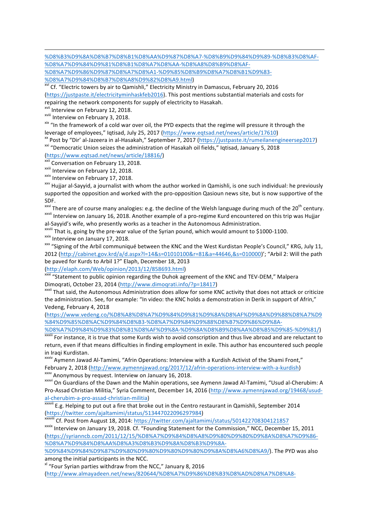<u> 1989 - Johann Stoff, fransk politik (d. 1989)</u> %D8%B3%D9%8A%D8%B7%D8%B1%D8%AA%D9%87%D8%A7-%D8%B9%D9%84%D9%89-%D8%B3%D8%AF- %D8%A7%D9%84%D9%81%D8%B1%D8%A7%D8%AA-%D8%A8%D8%B9%D8%AF-

%D8%A7%D9%86%D9%87%D8%A7%D8%A1-%D9%85%D8%B9%D8%A7%D8%B1%D9%83- %D8%A7%D9%84%D8%B7%D8%A8%D9%82%D8%A9.html)<br>
<sup>Xvi</sup> Cf. "Electric towers by air to Qamishli," Electricity Ministry in Damascus, February 20, 2016

(https://justpaste.it/electricityminhaskfeb2016). This post mentions substantial materials and costs for repairing the network components for supply of electricity to Hasakah.

<sup>xvii</sup> Interview on February 12, 2018.<br><sup>xviii</sup> Interview on February 3, 2018.<br><sup>xix</sup> "In the framework of a cold war over oil, the PYD expects that the regime will pressure it through the

leverage of employees," Iqtisad, July 25, 2017 (https://www.eqtsad.net/news/article/17610)<br>
<sup>XX</sup> Post by "Dir' al-Jazeera in al-Hasakah," September 7, 2017 (https://justpaste.it/rumeilanengineersep2017)<br>
<sup>XXI</sup> "Democratic

(https://www.eqtsad.net/news/article/18816/)<br>
xxii Conversation on February 13, 2018.<br>
xxiii Interview on February 12, 2018.<br>
xxiv Interview on February 17, 2018.<br>
xxiv Interview on February 17, 2018.<br>
xxiv Hujjar al-Sayyi supported the opposition and worked with the pro-opposition Qasioun news site, but is now supportive of the

SDF.<br><sup>xxvi</sup> There are of course many analogies: e.g. the decline of the Welsh language during much of the 20<sup>th</sup> century.  $x^{xvii}$  Interview on January 16, 2018. Another example of a pro-regime Kurd encountered on this trip was Hujjar

al-Sayyid's wife, who presently works as a teacher in the Autonomous Administration.<br>
XXVIII That is, going by the pre-war value of the Syrian pound, which would amount to \$1000-1100.<br>
XXX Interview on January 17, 2018.<br>
X

2012 (http://cabinet.gov.krd/a/d.aspx?l=14&s=01010100&r=81&a=44646,&s=010000)'; "Arbil 2: Will the path be paved for Kurds to Arbil 1?" Elaph, December 18, 2013

(http://elaph.com/Web/opinion/2013/12/858693.html)<br>
xxxi "Statement to public opinion regarding the Duhok agreement of the KNC and TEV-DEM," Malpera Dimoqrati, October 23, 2014 (http://www.dimoqrati.info/?p=18417)<br> $\frac{x}{x}$  That said, the Autonomous Administration does allow for some KNC activity that does not attack or criticize

the administration. See, for example: "In video: the KNC holds a demonstration in Derik in support of Afrin," Vedeng, February 4, 2018

(https://www.vedeng.co/%D8%A8%D8%A7%D9%84%D9%81%D9%8A%D8%AF%D9%8A%D9%88%D8%A7%D9 %84%D9%85%D8%AC%D9%84%D8%B3-%D8%A7%D9%84%D9%88%D8%B7%D9%86%D9%8A-

%D8%A7%D9%84%D9%83%D8%B1%D8%AF%D9%8A-%D9%8A%D8%B9%D8%AA%D8%B5%D9%85-%D9%81/<br><sup>xxxiii</sup> For instance, it is true that some Kurds wish to avoid conscription and thus live abroad and are reluctant to return, even if that means difficulties in finding employment in exile. This author has encountered such people in Iraqi Kurdistan.<br><sup>xxxiv</sup> Aymenn Jawad Al-Tamimi, "Afrin Operations: Interview with a Kurdish Activist of the Shami Front,"

February 2, 2018 (http://www.aymennjawad.org/2017/12/afrin-operations-interview-with-a-kurdish)<br><sup>XXXV</sup> Anonymous by request. Interview on January 16, 2018.<br><sup>XXXVI</sup> On Guardians of the Dawn and the Mahin operations, see Aym

Pro-Assad Christian Militia," Syria Comment, December 14, 2016 (http://www.aymennjawad.org/19468/usud-

al-cherubim-a-pro-assad-christian-militia)<br> **xxxvii** E.g. Helping to put out a fire that broke out in the Centro restaurant in Qamishli, September 2014

(https://twitter.com/ajaltamimi/status/513447022096297984)<br>
xxxviii Cf. Post from August 18, 2014: https://twitter.com/ajaltamimi/status/501422708304121857<br>
xxxix Interview on January 19, 2018. Cf. "Founding Statement for (https://syrianncb.com/2011/12/15/%D8%A7%D9%84%D8%A8%D9%80%D9%80%D9%8A%D8%A7%D9%86- %D8%A7%D9%84%D8%AA%D8%A3%D8%B3%D9%8A%D8%B3%D9%8A-

%D9%84%D9%84%D9%87%D9%80%D9%80%D9%80%D9%80%D9%8A%D8%A6%D8%A9/). The PYD was also among the initial participants in the NCC.

 $x$ <sup>1</sup> "Four Syrian parties withdraw from the NCC," January 8, 2016

(http://www.almayadeen.net/news/820644/%D8%A7%D9%86%D8%B3%D8%AD%D8%A7%D8%A8-